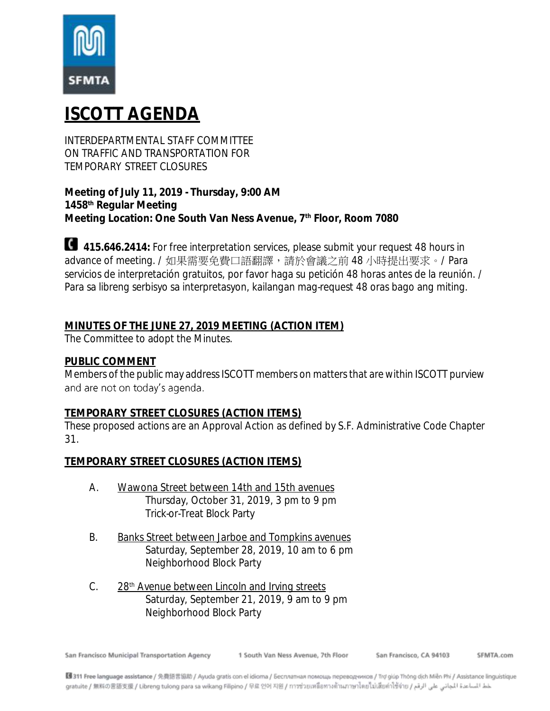

# **ISCOTT AGENDA**

INTERDEPARTMENTAL STAFF COMMITTEE ON TRAFFIC AND TRANSPORTATION FOR TEMPORARY STREET CLOSURES

**Meeting of July 11, 2019 - Thursday, 9:00 AM 1458th Regular Meeting Meeting Location: One South Van Ness Avenue, 7th Floor, Room 7080**

**415.646.2414:** For free interpretation services, please submit your request 48 hours in advance of meeting. / 如果需要免費口語翻譯,請於會議之前 48 小時提出要求。/ Para servicios de interpretación gratuitos, por favor haga su petición 48 horas antes de la reunión. / Para sa libreng serbisyo sa interpretasyon, kailangan mag-request 48 oras bago ang miting.

# **MINUTES OF THE JUNE 27, 2019 MEETING (ACTION ITEM)**

The Committee to adopt the Minutes.

### **PUBLIC COMMENT**

Members of the public may address ISCOTT members on matters that are within ISCOTT purview and are not on today's agenda.

### **TEMPORARY STREET CLOSURES (ACTION ITEMS)**

These proposed actions are an Approval Action as defined by S.F. Administrative Code Chapter 31.

**TEMPORARY STREET CLOSURES (ACTION ITEMS)**

- A. Wawona Street between 14th and 15th avenues Thursday, October 31, 2019, 3 pm to 9 pm Trick-or-Treat Block Party
- B. Banks Street between Jarboe and Tompkins avenues Saturday, September 28, 2019, 10 am to 6 pm Neighborhood Block Party
- C. 28<sup>th</sup> Avenue between Lincoln and Irving streets Saturday, September 21, 2019, 9 am to 9 pm Neighborhood Block Party

San Francisco Municipal Transportation Agency

1 South Van Ness Avenue, 7th Floor

San Francisco, CA 94103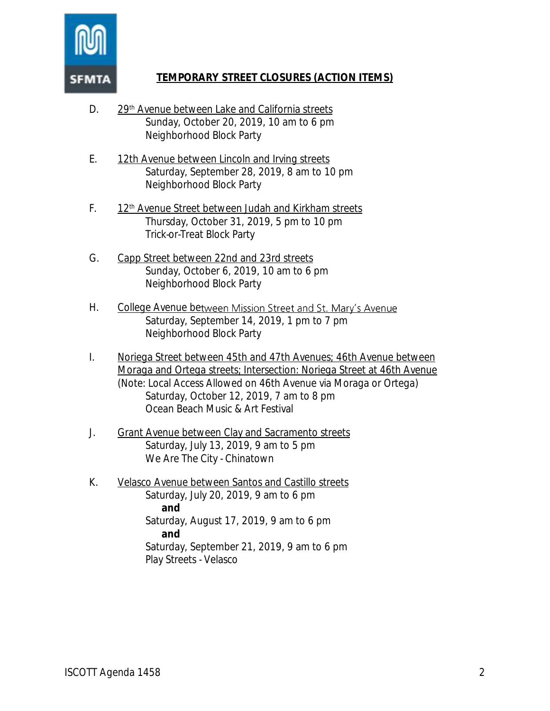

# **TEMPORARY STREET CLOSURES (ACTION ITEMS)**

- D. 29<sup>th</sup> Avenue between Lake and California streets Sunday, October 20, 2019, 10 am to 6 pm Neighborhood Block Party
- E. 12th Avenue between Lincoln and Irving streets Saturday, September 28, 2019, 8 am to 10 pm Neighborhood Block Party
- F. 12<sup>th</sup> Avenue Street between Judah and Kirkham streets Thursday, October 31, 2019, 5 pm to 10 pm Trick-or-Treat Block Party
- G. Capp Street between 22nd and 23rd streets Sunday, October 6, 2019, 10 am to 6 pm Neighborhood Block Party
- H. College Avenue between Mission Street and St. Mary's Avenue Saturday, September 14, 2019, 1 pm to 7 pm Neighborhood Block Party
- I. Noriega Street between 45th and 47th Avenues; 46th Avenue between Moraga and Ortega streets; Intersection: Noriega Street at 46th Avenue (Note: Local Access Allowed on 46th Avenue via Moraga or Ortega) Saturday, October 12, 2019, 7 am to 8 pm Ocean Beach Music & Art Festival
- J. Grant Avenue between Clay and Sacramento streets Saturday, July 13, 2019, 9 am to 5 pm We Are The City - Chinatown
- K. Velasco Avenue between Santos and Castillo streets Saturday, July 20, 2019, 9 am to 6 pm **and** Saturday, August 17, 2019, 9 am to 6 pm **and** Saturday, September 21, 2019, 9 am to 6 pm Play Streets - Velasco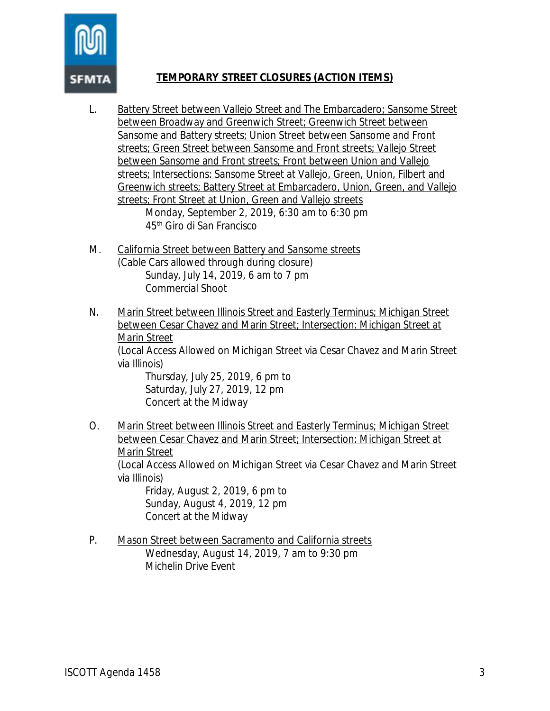### **TEMPORARY STREET CLOSURES (ACTION ITEMS)**

- L. Battery Street between Vallejo Street and The Embarcadero; Sansome Street between Broadway and Greenwich Street; Greenwich Street between Sansome and Battery streets; Union Street between Sansome and Front streets; Green Street between Sansome and Front streets; Vallejo Street between Sansome and Front streets; Front between Union and Vallejo streets; Intersections: Sansome Street at Vallejo, Green, Union, Filbert and Greenwich streets; Battery Street at Embarcadero, Union, Green, and Vallejo streets; Front Street at Union, Green and Vallejo streets Monday, September 2, 2019, 6:30 am to 6:30 pm 45th Giro di San Francisco
- M. California Street between Battery and Sansome streets (Cable Cars allowed through during closure) Sunday, July 14, 2019, 6 am to 7 pm Commercial Shoot
- N. Marin Street between Illinois Street and Easterly Terminus; Michigan Street between Cesar Chavez and Marin Street; Intersection: Michigan Street at Marin Street

(Local Access Allowed on Michigan Street via Cesar Chavez and Marin Street via Illinois)

Thursday, July 25, 2019, 6 pm to Saturday, July 27, 2019, 12 pm Concert at the Midway

O. Marin Street between Illinois Street and Easterly Terminus; Michigan Street between Cesar Chavez and Marin Street; Intersection: Michigan Street at Marin Street

(Local Access Allowed on Michigan Street via Cesar Chavez and Marin Street via Illinois)

Friday, August 2, 2019, 6 pm to Sunday, August 4, 2019, 12 pm Concert at the Midway

P. Mason Street between Sacramento and California streets Wednesday, August 14, 2019, 7 am to 9:30 pm Michelin Drive Event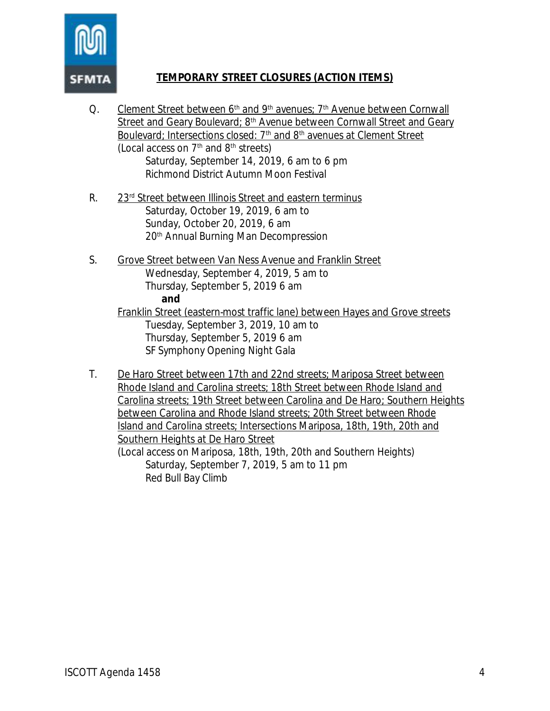

## **TEMPORARY STREET CLOSURES (ACTION ITEMS)**

- Q. Clement Street between  $6<sup>th</sup>$  and  $9<sup>th</sup>$  avenues;  $7<sup>th</sup>$  Avenue between Cornwall Street and Geary Boulevard; 8<sup>th</sup> Avenue between Cornwall Street and Geary Boulevard; Intersections closed: 7<sup>th</sup> and 8<sup>th</sup> avenues at Clement Street (Local access on  $7<sup>th</sup>$  and  $8<sup>th</sup>$  streets) Saturday, September 14, 2019, 6 am to 6 pm Richmond District Autumn Moon Festival
- R. 23rd Street between Illinois Street and eastern terminus Saturday, October 19, 2019, 6 am to Sunday, October 20, 2019, 6 am 20th Annual Burning Man Decompression
- S. Grove Street between Van Ness Avenue and Franklin Street Wednesday, September 4, 2019, 5 am to Thursday, September 5, 2019 6 am **and** Franklin Street (eastern-most traffic lane) between Hayes and Grove streets Tuesday, September 3, 2019, 10 am to Thursday, September 5, 2019 6 am SF Symphony Opening Night Gala
- T. De Haro Street between 17th and 22nd streets; Mariposa Street between Rhode Island and Carolina streets; 18th Street between Rhode Island and Carolina streets; 19th Street between Carolina and De Haro; Southern Heights between Carolina and Rhode Island streets; 20th Street between Rhode Island and Carolina streets; Intersections Mariposa, 18th, 19th, 20th and Southern Heights at De Haro Street

(Local access on Mariposa, 18th, 19th, 20th and Southern Heights) Saturday, September 7, 2019, 5 am to 11 pm Red Bull Bay Climb